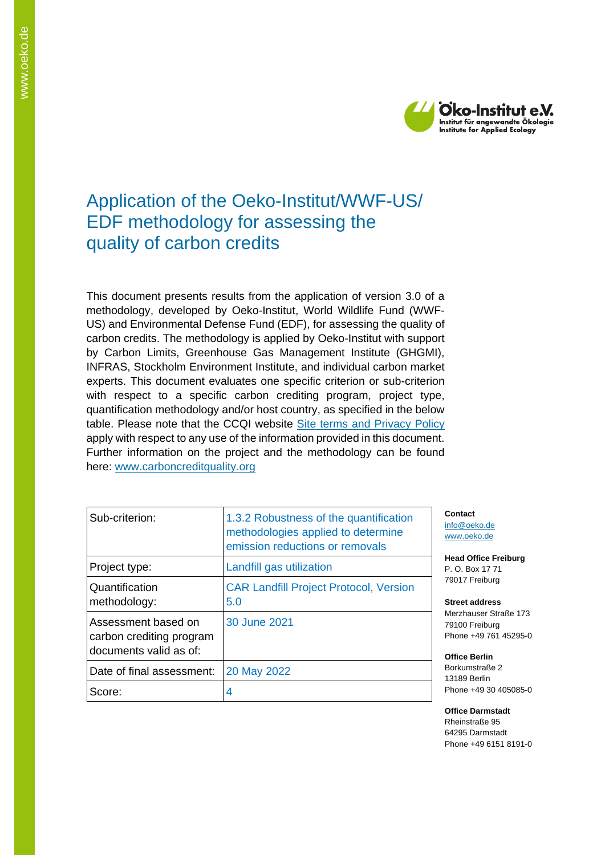

# Application of the Oeko-Institut/WWF-US/ EDF methodology for assessing the quality of carbon credits

This document presents results from the application of version 3.0 of a methodology, developed by Oeko-Institut, World Wildlife Fund (WWF-US) and Environmental Defense Fund (EDF), for assessing the quality of carbon credits. The methodology is applied by Oeko-Institut with support by Carbon Limits, Greenhouse Gas Management Institute (GHGMI), INFRAS, Stockholm Environment Institute, and individual carbon market experts. This document evaluates one specific criterion or sub-criterion with respect to a specific carbon crediting program, project type, quantification methodology and/or host country, as specified in the below table. Please note that the CCQI website [Site terms and Privacy Policy](https://carboncreditquality.org/terms.html) apply with respect to any use of the information provided in this document. Further information on the project and the methodology can be found here: [www.carboncreditquality.org](http://www.carboncreditquality.org/)

| Sub-criterion:                                                            | 1.3.2 Robustness of the quantification<br>methodologies applied to determine<br>emission reductions or removals |
|---------------------------------------------------------------------------|-----------------------------------------------------------------------------------------------------------------|
| Project type:                                                             | Landfill gas utilization                                                                                        |
| Quantification<br>methodology:                                            | <b>CAR Landfill Project Protocol, Version</b><br>5.0                                                            |
| Assessment based on<br>carbon crediting program<br>documents valid as of: | 30 June 2021                                                                                                    |
| Date of final assessment:                                                 | 20 May 2022                                                                                                     |
| Score:                                                                    | 4                                                                                                               |

**Contact** [info@oeko.de](mailto:info@oeko.de) [www.oeko.de](http://www.oeko.de/)

**Head Office Freiburg** P. O. Box 17 71 79017 Freiburg

**Street address** Merzhauser Straße 173 79100 Freiburg Phone +49 761 45295-0

**Office Berlin** Borkumstraße 2 13189 Berlin Phone +49 30 405085-0

**Office Darmstadt** Rheinstraße 95 64295 Darmstadt Phone +49 6151 8191-0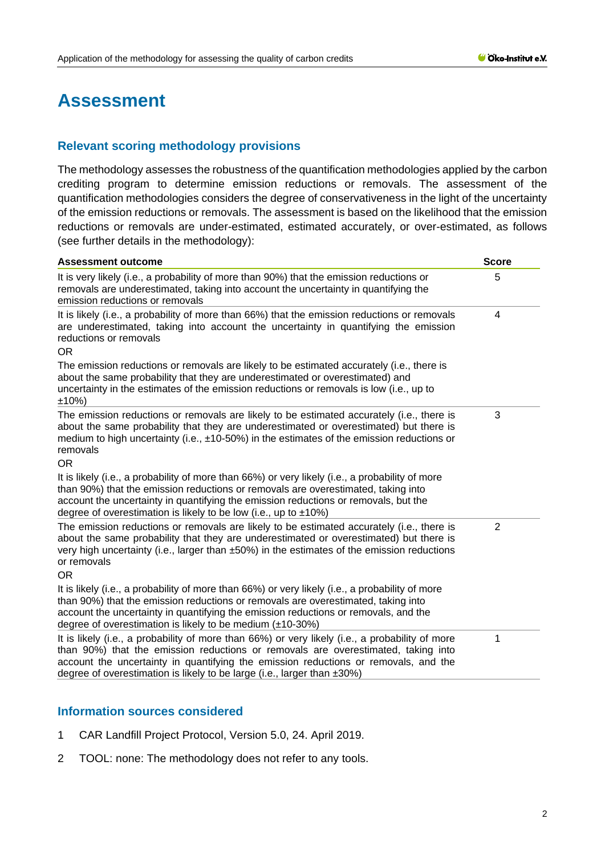# **Assessment**

# **Relevant scoring methodology provisions**

The methodology assesses the robustness of the quantification methodologies applied by the carbon crediting program to determine emission reductions or removals. The assessment of the quantification methodologies considers the degree of conservativeness in the light of the uncertainty of the emission reductions or removals. The assessment is based on the likelihood that the emission reductions or removals are under-estimated, estimated accurately, or over-estimated, as follows (see further details in the methodology):

| <b>Assessment outcome</b>                                                                                                                                                                                                                                                                                                                                     | <b>Score</b>   |
|---------------------------------------------------------------------------------------------------------------------------------------------------------------------------------------------------------------------------------------------------------------------------------------------------------------------------------------------------------------|----------------|
| It is very likely (i.e., a probability of more than 90%) that the emission reductions or<br>removals are underestimated, taking into account the uncertainty in quantifying the<br>emission reductions or removals                                                                                                                                            | 5              |
| It is likely (i.e., a probability of more than 66%) that the emission reductions or removals<br>are underestimated, taking into account the uncertainty in quantifying the emission<br>reductions or removals<br>OR.                                                                                                                                          | 4              |
| The emission reductions or removals are likely to be estimated accurately (i.e., there is<br>about the same probability that they are underestimated or overestimated) and<br>uncertainty in the estimates of the emission reductions or removals is low (i.e., up to<br>±10%                                                                                 |                |
| The emission reductions or removals are likely to be estimated accurately (i.e., there is<br>about the same probability that they are underestimated or overestimated) but there is<br>medium to high uncertainty (i.e., $\pm$ 10-50%) in the estimates of the emission reductions or<br>removals<br><b>OR</b>                                                | 3              |
| It is likely (i.e., a probability of more than 66%) or very likely (i.e., a probability of more<br>than 90%) that the emission reductions or removals are overestimated, taking into<br>account the uncertainty in quantifying the emission reductions or removals, but the<br>degree of overestimation is likely to be low (i.e., up to $\pm 10\%$ )         |                |
| The emission reductions or removals are likely to be estimated accurately (i.e., there is<br>about the same probability that they are underestimated or overestimated) but there is<br>very high uncertainty (i.e., larger than ±50%) in the estimates of the emission reductions<br>or removals<br><b>OR</b>                                                 | $\overline{2}$ |
| It is likely (i.e., a probability of more than 66%) or very likely (i.e., a probability of more<br>than 90%) that the emission reductions or removals are overestimated, taking into<br>account the uncertainty in quantifying the emission reductions or removals, and the<br>degree of overestimation is likely to be medium $(\pm 10-30\%)$                |                |
| It is likely (i.e., a probability of more than 66%) or very likely (i.e., a probability of more<br>than 90%) that the emission reductions or removals are overestimated, taking into<br>account the uncertainty in quantifying the emission reductions or removals, and the<br>degree of overestimation is likely to be large (i.e., larger than $\pm 30\%$ ) | 1              |

# **Information sources considered**

- 1 CAR Landfill Project Protocol, Version 5.0, 24. April 2019.
- 2 TOOL: none: The methodology does not refer to any tools.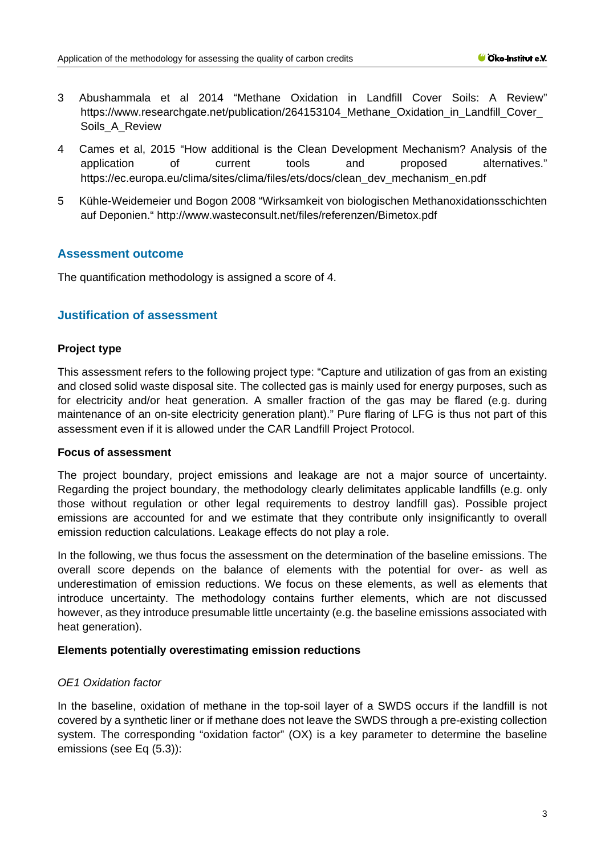- 3 Abushammala et al 2014 "Methane Oxidation in Landfill Cover Soils: A Review" https://www.researchgate.net/publication/264153104 Methane Oxidation in Landfill Cover Soils A Review
- 4 Cames et al, 2015 "How additional is the Clean Development Mechanism? Analysis of the application of current tools and proposed alternatives." [https://ec.europa.eu/clima/sites/clima/files/ets/docs/clean\\_dev\\_mechanism\\_en.pdf](https://ec.europa.eu/clima/sites/clima/files/ets/docs/clean_dev_mechanism_en.pdf)
- 5 Kühle-Weidemeier und Bogon 2008 "Wirksamkeit von biologischen Methanoxidationsschichten auf Deponien." <http://www.wasteconsult.net/files/referenzen/Bimetox.pdf>

## **Assessment outcome**

The quantification methodology is assigned a score of 4.

# **Justification of assessment**

### **Project type**

This assessment refers to the following project type: "Capture and utilization of gas from an existing and closed solid waste disposal site. The collected gas is mainly used for energy purposes, such as for electricity and/or heat generation. A smaller fraction of the gas may be flared (e.g. during maintenance of an on-site electricity generation plant)." Pure flaring of LFG is thus not part of this assessment even if it is allowed under the CAR Landfill Project Protocol.

#### **Focus of assessment**

The project boundary, project emissions and leakage are not a major source of uncertainty. Regarding the project boundary, the methodology clearly delimitates applicable landfills (e.g. only those without regulation or other legal requirements to destroy landfill gas). Possible project emissions are accounted for and we estimate that they contribute only insignificantly to overall emission reduction calculations. Leakage effects do not play a role.

In the following, we thus focus the assessment on the determination of the baseline emissions. The overall score depends on the balance of elements with the potential for over- as well as underestimation of emission reductions. We focus on these elements, as well as elements that introduce uncertainty. The methodology contains further elements, which are not discussed however, as they introduce presumable little uncertainty (e.g. the baseline emissions associated with heat generation).

#### **Elements potentially overestimating emission reductions**

## *OE1 Oxidation factor*

In the baseline, oxidation of methane in the top-soil layer of a SWDS occurs if the landfill is not covered by a synthetic liner or if methane does not leave the SWDS through a pre-existing collection system. The corresponding "oxidation factor" (OX) is a key parameter to determine the baseline emissions (see Eq (5.3)):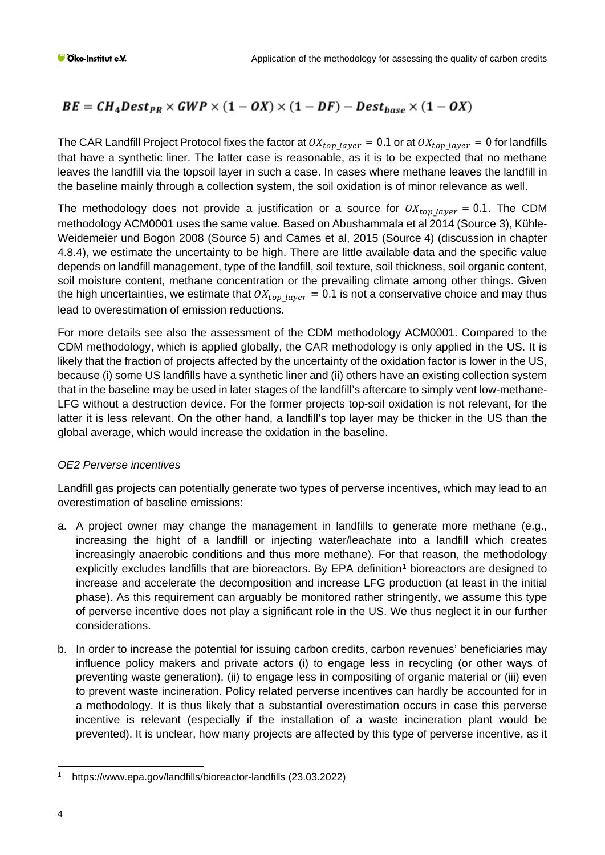# $BE = CH_4Dest_{PR} \times GWP \times (1 - OX) \times (1 - DF) - Dest_{base} \times (1 - OX)$

The CAR Landfill Project Protocol fixes the factor at  $OX_{top\_layer} = 0.1$  or at  $OX_{top\_layer} = 0$  for landfills that have a synthetic liner. The latter case is reasonable, as it is to be expected that no methane leaves the landfill via the topsoil layer in such a case. In cases where methane leaves the landfill in the baseline mainly through a collection system, the soil oxidation is of minor relevance as well.

The methodology does not provide a justification or a source for  $OX_{top\ layer} = 0.1$ . The CDM methodology ACM0001 uses the same value. Based on Abushammala et al 2014 (Source 3), Kühle-Weidemeier und Bogon 2008 (Source 5) and Cames et al, 2015 (Source 4) (discussion in chapter 4.8.4), we estimate the uncertainty to be high. There are little available data and the specific value depends on landfill management, type of the landfill, soil texture, soil thickness, soil organic content, soil moisture content, methane concentration or the prevailing climate among other things. Given the high uncertainties, we estimate that  $OX_{top\ layer} = 0.1$  is not a conservative choice and may thus lead to overestimation of emission reductions.

For more details see also the assessment of the CDM methodology ACM0001. Compared to the CDM methodology, which is applied globally, the CAR methodology is only applied in the US. It is likely that the fraction of projects affected by the uncertainty of the oxidation factor is lower in the US, because (i) some US landfills have a synthetic liner and (ii) others have an existing collection system that in the baseline may be used in later stages of the landfill's aftercare to simply vent low-methane-LFG without a destruction device. For the former projects top-soil oxidation is not relevant, for the latter it is less relevant. On the other hand, a landfill's top layer may be thicker in the US than the global average, which would increase the oxidation in the baseline.

# *OE2 Perverse incentives*

Landfill gas projects can potentially generate two types of perverse incentives, which may lead to an overestimation of baseline emissions:

- a. A project owner may change the management in landfills to generate more methane (e.g., increasing the hight of a landfill or injecting water/leachate into a landfill which creates increasingly anaerobic conditions and thus more methane). For that reason, the methodology explicitly excludes landfills that are bioreactors. By EPA definition<sup>[1](#page-3-0)</sup> bioreactors are designed to increase and accelerate the decomposition and increase LFG production (at least in the initial phase). As this requirement can arguably be monitored rather stringently, we assume this type of perverse incentive does not play a significant role in the US. We thus neglect it in our further considerations.
- b. In order to increase the potential for issuing carbon credits, carbon revenues' beneficiaries may influence policy makers and private actors (i) to engage less in recycling (or other ways of preventing waste generation), (ii) to engage less in compositing of organic material or (iii) even to prevent waste incineration. Policy related perverse incentives can hardly be accounted for in a methodology. It is thus likely that a substantial overestimation occurs in case this perverse incentive is relevant (especially if the installation of a waste incineration plant would be prevented). It is unclear, how many projects are affected by this type of perverse incentive, as it

<span id="page-3-0"></span><sup>1</sup> https://www.epa.gov/landfills/bioreactor-landfills (23.03.2022)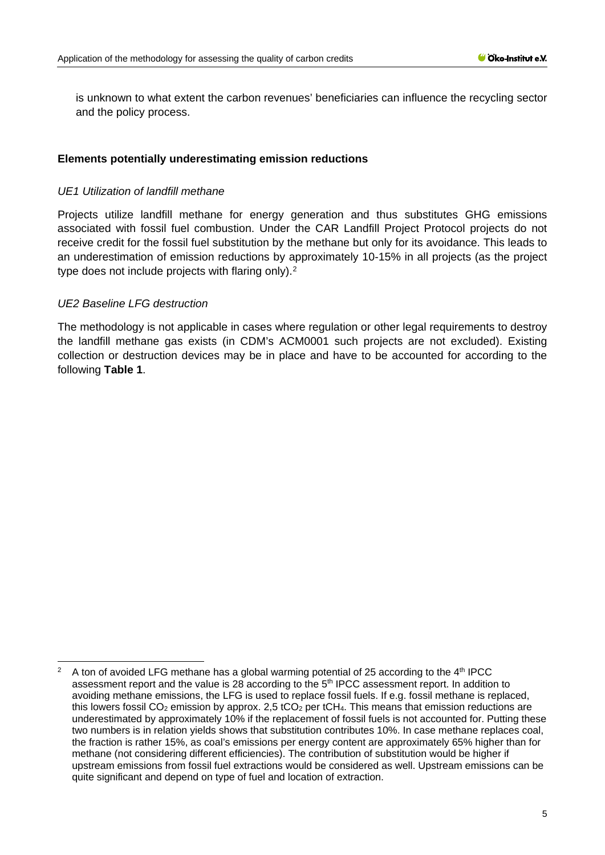is unknown to what extent the carbon revenues' beneficiaries can influence the recycling sector and the policy process.

## **Elements potentially underestimating emission reductions**

#### *UE1 Utilization of landfill methane*

Projects utilize landfill methane for energy generation and thus substitutes GHG emissions associated with fossil fuel combustion. Under the CAR Landfill Project Protocol projects do not receive credit for the fossil fuel substitution by the methane but only for its avoidance. This leads to an underestimation of emission reductions by approximately 10-15% in all projects (as the project type does not include projects with flaring only).<sup>[2](#page-4-0)</sup>

### *UE2 Baseline LFG destruction*

The methodology is not applicable in cases where regulation or other legal requirements to destroy the landfill methane gas exists (in CDM's ACM0001 such projects are not excluded). Existing collection or destruction devices may be in place and have to be accounted for according to the following **Table 1**.

<span id="page-4-0"></span>A ton of avoided LFG methane has a global warming potential of 25 according to the  $4<sup>th</sup>$  IPCC assessment report and the value is 28 according to the 5<sup>th</sup> IPCC assessment report. In addition to avoiding methane emissions, the LFG is used to replace fossil fuels. If e.g. fossil methane is replaced, this lowers fossil CO<sub>2</sub> emission by approx. 2,5 tCO<sub>2</sub> per tCH<sub>4</sub>. This means that emission reductions are underestimated by approximately 10% if the replacement of fossil fuels is not accounted for. Putting these two numbers is in relation yields shows that substitution contributes 10%. In case methane replaces coal, the fraction is rather 15%, as coal's emissions per energy content are approximately 65% higher than for methane (not considering different efficiencies). The contribution of substitution would be higher if upstream emissions from fossil fuel extractions would be considered as well. Upstream emissions can be quite significant and depend on type of fuel and location of extraction.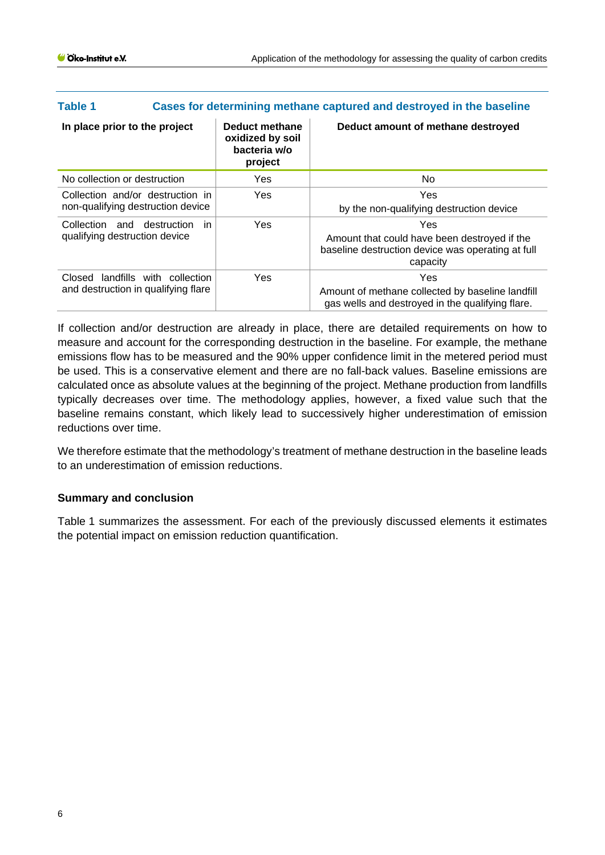| <b>Table 1</b>                                                             | Cases for determining methane captured and destroyed in the baseline |                                                               |                                                                                                                      |  |  |  |
|----------------------------------------------------------------------------|----------------------------------------------------------------------|---------------------------------------------------------------|----------------------------------------------------------------------------------------------------------------------|--|--|--|
| In place prior to the project                                              |                                                                      | Deduct methane<br>oxidized by soil<br>bacteria w/o<br>project | Deduct amount of methane destroyed                                                                                   |  |  |  |
| No collection or destruction                                               |                                                                      | <b>Yes</b>                                                    | No.                                                                                                                  |  |  |  |
| Collection and/or destruction in<br>non-qualifying destruction device      |                                                                      | <b>Yes</b>                                                    | Yes<br>by the non-qualifying destruction device                                                                      |  |  |  |
| Collection<br>qualifying destruction device                                | and destruction in                                                   | Yes                                                           | Yes<br>Amount that could have been destroyed if the<br>baseline destruction device was operating at full<br>capacity |  |  |  |
| Closed<br>landfills with collection<br>and destruction in qualifying flare |                                                                      | <b>Yes</b>                                                    | Yes<br>Amount of methane collected by baseline landfill<br>gas wells and destroyed in the qualifying flare.          |  |  |  |

If collection and/or destruction are already in place, there are detailed requirements on how to measure and account for the corresponding destruction in the baseline. For example, the methane emissions flow has to be measured and the 90% upper confidence limit in the metered period must be used. This is a conservative element and there are no fall-back values. Baseline emissions are calculated once as absolute values at the beginning of the project. Methane production from landfills typically decreases over time. The methodology applies, however, a fixed value such that the baseline remains constant, which likely lead to successively higher underestimation of emission reductions over time.

We therefore estimate that the methodology's treatment of methane destruction in the baseline leads to an underestimation of emission reductions.

## **Summary and conclusion**

[Table](#page-6-0) 1 summarizes the assessment. For each of the previously discussed elements it estimates the potential impact on emission reduction quantification.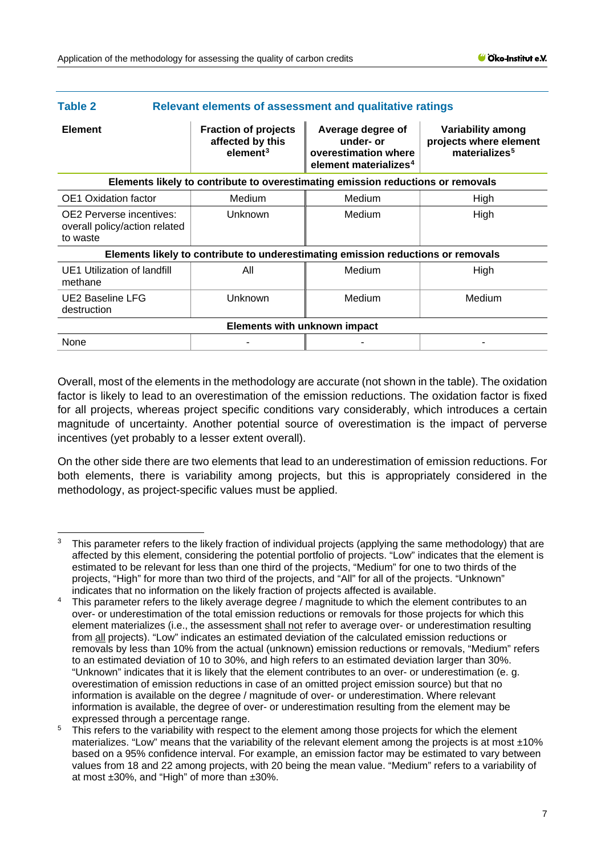<span id="page-6-0"></span>

| Table 2                                                                          | <b>Relevant elements of assessment and qualitative ratings</b>          |                                                                                             |                                                                                 |  |  |  |  |
|----------------------------------------------------------------------------------|-------------------------------------------------------------------------|---------------------------------------------------------------------------------------------|---------------------------------------------------------------------------------|--|--|--|--|
| <b>Element</b>                                                                   | <b>Fraction of projects</b><br>affected by this<br>element <sup>3</sup> | Average degree of<br>under- or<br>overestimation where<br>element materializes <sup>4</sup> | <b>Variability among</b><br>projects where element<br>materializes <sup>5</sup> |  |  |  |  |
| Elements likely to contribute to overestimating emission reductions or removals  |                                                                         |                                                                                             |                                                                                 |  |  |  |  |
| <b>OE1</b> Oxidation factor                                                      | Medium                                                                  | Medium                                                                                      | High                                                                            |  |  |  |  |
| <b>OE2</b> Perverse incentives:<br>overall policy/action related<br>to waste     | Unknown                                                                 | Medium                                                                                      | High                                                                            |  |  |  |  |
| Elements likely to contribute to underestimating emission reductions or removals |                                                                         |                                                                                             |                                                                                 |  |  |  |  |
| UE1 Utilization of landfill<br>methane                                           | All                                                                     | Medium                                                                                      | High                                                                            |  |  |  |  |
| UE2 Baseline LFG<br>destruction                                                  | Unknown                                                                 | Medium                                                                                      | Medium                                                                          |  |  |  |  |
| <b>Elements with unknown impact</b>                                              |                                                                         |                                                                                             |                                                                                 |  |  |  |  |
| None                                                                             |                                                                         |                                                                                             |                                                                                 |  |  |  |  |

Overall, most of the elements in the methodology are accurate (not shown in the table). The oxidation factor is likely to lead to an overestimation of the emission reductions. The oxidation factor is fixed for all projects, whereas project specific conditions vary considerably, which introduces a certain magnitude of uncertainty. Another potential source of overestimation is the impact of perverse incentives (yet probably to a lesser extent overall).

On the other side there are two elements that lead to an underestimation of emission reductions. For both elements, there is variability among projects, but this is appropriately considered in the methodology, as project-specific values must be applied.

<span id="page-6-1"></span><sup>3</sup> This parameter refers to the likely fraction of individual projects (applying the same methodology) that are affected by this element, considering the potential portfolio of projects. "Low" indicates that the element is estimated to be relevant for less than one third of the projects, "Medium" for one to two thirds of the projects, "High" for more than two third of the projects, and "All" for all of the projects. "Unknown" indicates that no information on the likely fraction of projects affected is available.

<span id="page-6-2"></span>This parameter refers to the likely average degree / magnitude to which the element contributes to an over- or underestimation of the total emission reductions or removals for those projects for which this element materializes (i.e., the assessment shall not refer to average over- or underestimation resulting from all projects). "Low" indicates an estimated deviation of the calculated emission reductions or removals by less than 10% from the actual (unknown) emission reductions or removals, "Medium" refers to an estimated deviation of 10 to 30%, and high refers to an estimated deviation larger than 30%. "Unknown" indicates that it is likely that the element contributes to an over- or underestimation (e. g. overestimation of emission reductions in case of an omitted project emission source) but that no information is available on the degree / magnitude of over- or underestimation. Where relevant information is available, the degree of over- or underestimation resulting from the element may be expressed through a percentage range.

<span id="page-6-3"></span><sup>&</sup>lt;sup>5</sup> This refers to the variability with respect to the element among those projects for which the element materializes. "Low" means that the variability of the relevant element among the projects is at most  $\pm 10\%$ based on a 95% confidence interval. For example, an emission factor may be estimated to vary between values from 18 and 22 among projects, with 20 being the mean value. "Medium" refers to a variability of at most ±30%, and "High" of more than ±30%.